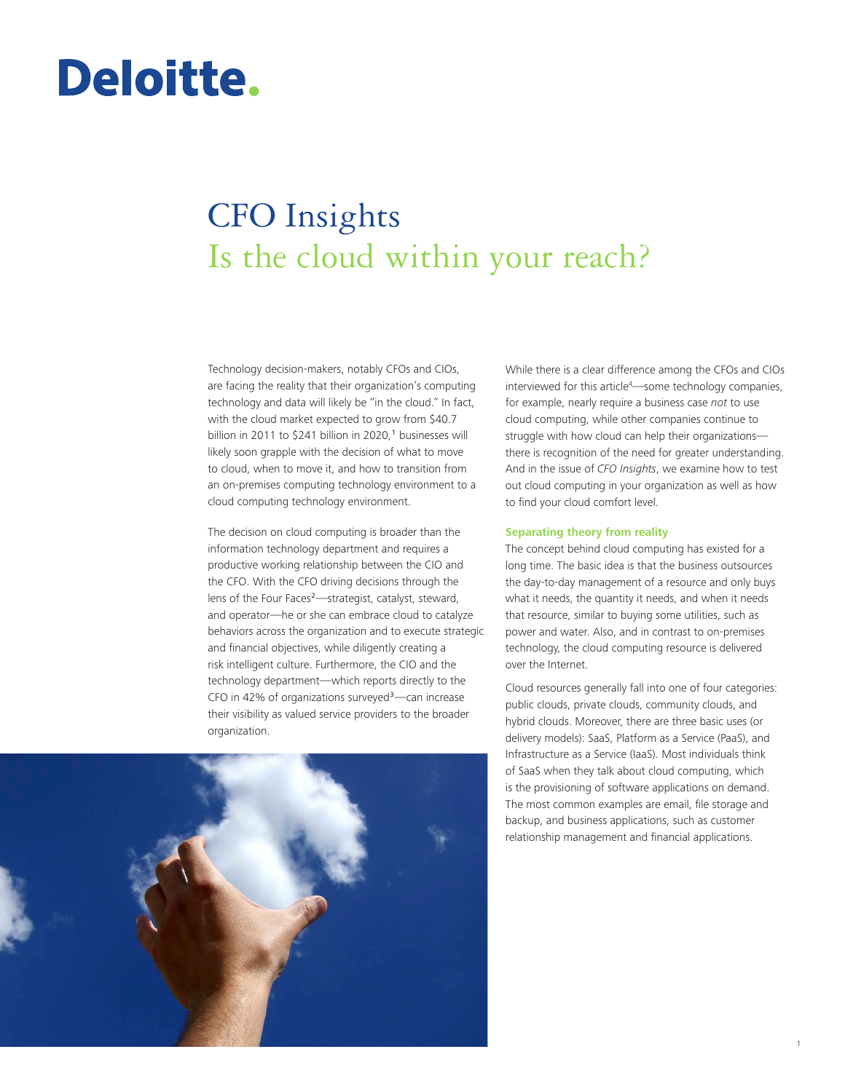# Deloitte.

# CFO Insights Is the cloud within your reach?

Technology decision-makers, notably CFOs and CIOs, are facing the reality that their organization's computing technology and data will likely be "in the cloud." In fact, with the cloud market expected to grow from \$40.7 billion in 2011 to \$241 billion in 2020, $<sup>1</sup>$  businesses will</sup> likely soon grapple with the decision of what to move to cloud, when to move it, and how to transition from an on-premises computing technology environment to a cloud computing technology environment.

The decision on cloud computing is broader than the information technology department and requires a productive working relationship between the CIO and the CFO. With the CFO driving decisions through the lens of the Four Faces²—strategist, catalyst, steward, and operator—he or she can embrace cloud to catalyze behaviors across the organization and to execute strategic and financial objectives, while diligently creating a risk intelligent culture. Furthermore, the CIO and the technology department—which reports directly to the CFO in 42% of organizations surveyed $3$ —can increase their visibility as valued service providers to the broader organization.



While there is a clear difference among the CFOs and CIOs interviewed for this article<sup>4</sup>—some technology companies, for example, nearly require a business case *not* to use cloud computing, while other companies continue to struggle with how cloud can help their organizations there is recognition of the need for greater understanding. And in the issue of *CFO Insights*, we examine how to test out cloud computing in your organization as well as how to find your cloud comfort level.

## **Separating theory from reality**

The concept behind cloud computing has existed for a long time. The basic idea is that the business outsources the day-to-day management of a resource and only buys what it needs, the quantity it needs, and when it needs that resource, similar to buying some utilities, such as power and water. Also, and in contrast to on-premises technology, the cloud computing resource is delivered over the Internet.

Cloud resources generally fall into one of four categories: public clouds, private clouds, community clouds, and hybrid clouds. Moreover, there are three basic uses (or delivery models): SaaS, Platform as a Service (PaaS), and Infrastructure as a Service (IaaS). Most individuals think of SaaS when they talk about cloud computing, which is the provisioning of software applications on demand. The most common examples are email, file storage and backup, and business applications, such as customer relationship management and financial applications.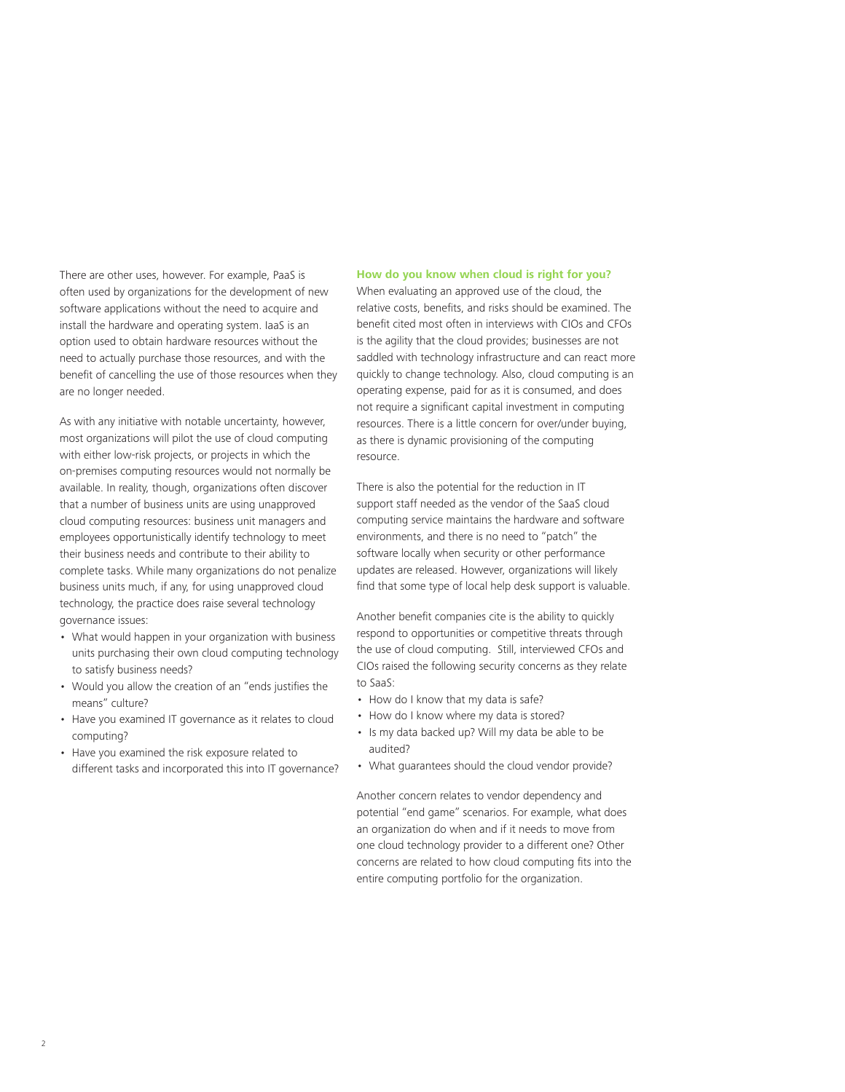There are other uses, however. For example, PaaS is often used by organizations for the development of new software applications without the need to acquire and install the hardware and operating system. IaaS is an option used to obtain hardware resources without the need to actually purchase those resources, and with the benefit of cancelling the use of those resources when they are no longer needed.

As with any initiative with notable uncertainty, however, most organizations will pilot the use of cloud computing with either low-risk projects, or projects in which the on-premises computing resources would not normally be available. In reality, though, organizations often discover that a number of business units are using unapproved cloud computing resources: business unit managers and employees opportunistically identify technology to meet their business needs and contribute to their ability to complete tasks. While many organizations do not penalize business units much, if any, for using unapproved cloud technology, the practice does raise several technology governance issues:

- What would happen in your organization with business units purchasing their own cloud computing technology to satisfy business needs?
- • Would you allow the creation of an "ends justifies the means" culture?
- Have you examined IT governance as it relates to cloud computing?
- Have you examined the risk exposure related to different tasks and incorporated this into IT governance?

# **How do you know when cloud is right for you?**

When evaluating an approved use of the cloud, the relative costs, benefits, and risks should be examined. The benefit cited most often in interviews with CIOs and CFOs is the agility that the cloud provides; businesses are not saddled with technology infrastructure and can react more quickly to change technology. Also, cloud computing is an operating expense, paid for as it is consumed, and does not require a significant capital investment in computing resources. There is a little concern for over/under buying, as there is dynamic provisioning of the computing resource.

There is also the potential for the reduction in IT support staff needed as the vendor of the SaaS cloud computing service maintains the hardware and software environments, and there is no need to "patch" the software locally when security or other performance updates are released. However, organizations will likely find that some type of local help desk support is valuable.

Another benefit companies cite is the ability to quickly respond to opportunities or competitive threats through the use of cloud computing. Still, interviewed CFOs and CIOs raised the following security concerns as they relate to SaaS:

- How do I know that my data is safe?
- How do I know where my data is stored?
- Is my data backed up? Will my data be able to be audited?
- What quarantees should the cloud vendor provide?

Another concern relates to vendor dependency and potential "end game" scenarios. For example, what does an organization do when and if it needs to move from one cloud technology provider to a different one? Other concerns are related to how cloud computing fits into the entire computing portfolio for the organization.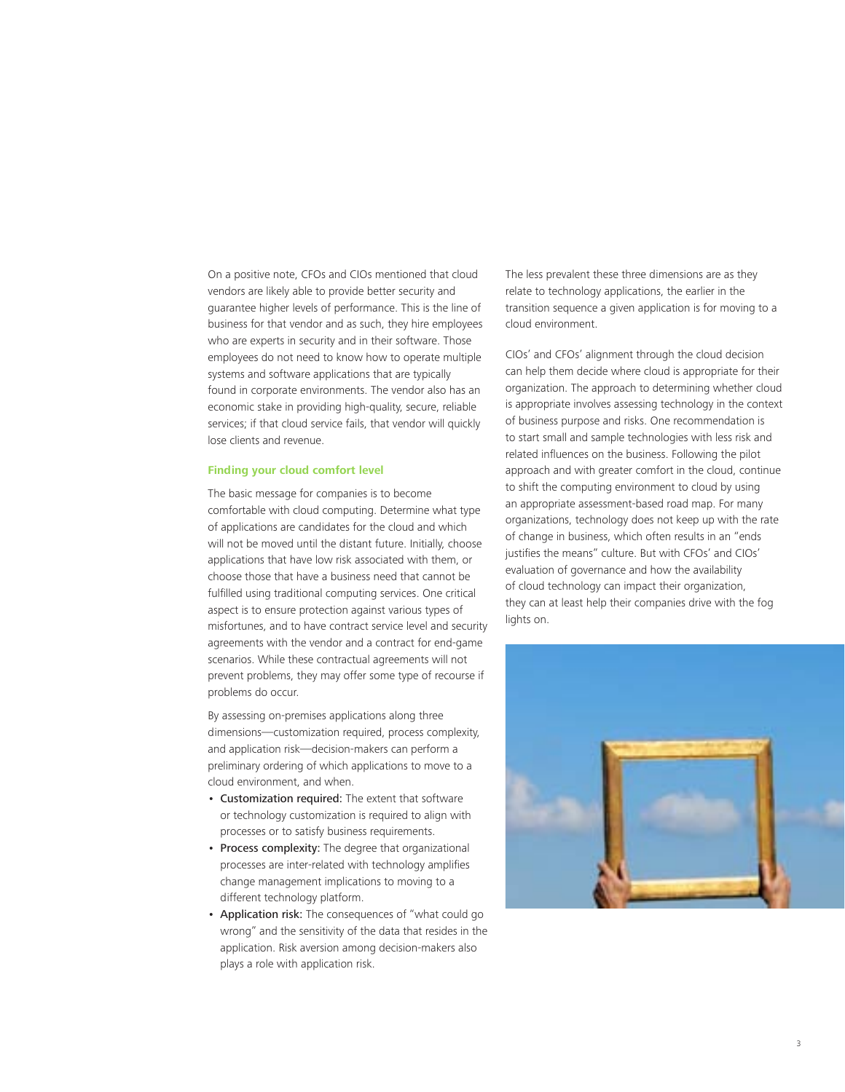On a positive note, CFOs and CIOs mentioned that cloud vendors are likely able to provide better security and guarantee higher levels of performance. This is the line of business for that vendor and as such, they hire employees who are experts in security and in their software. Those employees do not need to know how to operate multiple systems and software applications that are typically found in corporate environments. The vendor also has an economic stake in providing high-quality, secure, reliable services; if that cloud service fails, that vendor will quickly lose clients and revenue.

# **Finding your cloud comfort level**

The basic message for companies is to become comfortable with cloud computing. Determine what type of applications are candidates for the cloud and which will not be moved until the distant future. Initially, choose applications that have low risk associated with them, or choose those that have a business need that cannot be fulfilled using traditional computing services. One critical aspect is to ensure protection against various types of misfortunes, and to have contract service level and security agreements with the vendor and a contract for end-game scenarios. While these contractual agreements will not prevent problems, they may offer some type of recourse if problems do occur.

By assessing on-premises applications along three dimensions—customization required, process complexity, and application risk—decision-makers can perform a preliminary ordering of which applications to move to a cloud environment, and when.

- Customization required: The extent that software or technology customization is required to align with processes or to satisfy business requirements.
- Process complexity: The degree that organizational processes are inter-related with technology amplifies change management implications to moving to a different technology platform.
- Application risk: The consequences of "what could go wrong" and the sensitivity of the data that resides in the application. Risk aversion among decision-makers also plays a role with application risk.

The less prevalent these three dimensions are as they relate to technology applications, the earlier in the transition sequence a given application is for moving to a cloud environment.

CIOs' and CFOs' alignment through the cloud decision can help them decide where cloud is appropriate for their organization. The approach to determining whether cloud is appropriate involves assessing technology in the context of business purpose and risks. One recommendation is to start small and sample technologies with less risk and related influences on the business. Following the pilot approach and with greater comfort in the cloud, continue to shift the computing environment to cloud by using an appropriate assessment-based road map. For many organizations, technology does not keep up with the rate of change in business, which often results in an "ends justifies the means" culture. But with CFOs' and CIOs' evaluation of governance and how the availability of cloud technology can impact their organization, they can at least help their companies drive with the fog lights on.